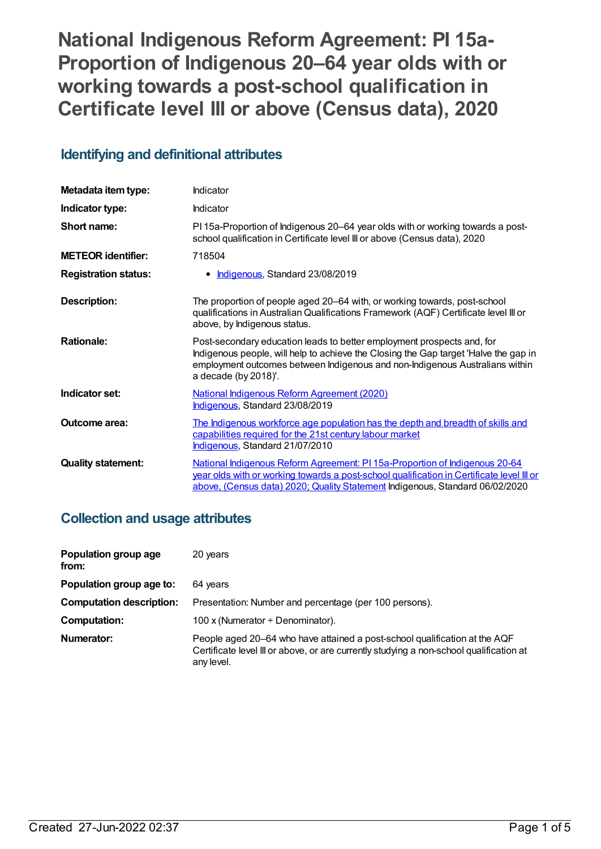**National Indigenous Reform Agreement: PI 15a-Proportion of Indigenous 20–64 year olds with or working towards a post-school qualification in Certificate level III or above (Census data), 2020**

## **Identifying and definitional attributes**

| Metadata item type:         | Indicator                                                                                                                                                                                                                                                              |
|-----------------------------|------------------------------------------------------------------------------------------------------------------------------------------------------------------------------------------------------------------------------------------------------------------------|
| Indicator type:             | Indicator                                                                                                                                                                                                                                                              |
| Short name:                 | PI 15a-Proportion of Indigenous 20–64 year olds with or working towards a post-<br>school qualification in Certificate level III or above (Census data), 2020                                                                                                          |
| <b>METEOR identifier:</b>   | 718504                                                                                                                                                                                                                                                                 |
| <b>Registration status:</b> | Indigenous, Standard 23/08/2019                                                                                                                                                                                                                                        |
| <b>Description:</b>         | The proportion of people aged 20–64 with, or working towards, post-school<br>qualifications in Australian Qualifications Framework (AQF) Certificate level III or<br>above, by Indigenous status.                                                                      |
| <b>Rationale:</b>           | Post-secondary education leads to better employment prospects and, for<br>Indigenous people, will help to achieve the Closing the Gap target 'Halve the gap in<br>employment outcomes between Indigenous and non-Indigenous Australians within<br>a decade (by 2018)'. |
| Indicator set:              | <b>National Indigenous Reform Agreement (2020)</b><br>Indigenous, Standard 23/08/2019                                                                                                                                                                                  |
| Outcome area:               | The Indigenous workforce age population has the depth and breadth of skills and<br>capabilities required for the 21st century labour market<br>Indigenous, Standard 21/07/2010                                                                                         |
| <b>Quality statement:</b>   | National Indigenous Reform Agreement: PI 15a-Proportion of Indigenous 20-64<br>year olds with or working towards a post-school qualification in Certificate level III or<br>above, (Census data) 2020; Quality Statement Indigenous, Standard 06/02/2020               |

## **Collection and usage attributes**

| Population group age<br>from:   | 20 years                                                                                                                                                                            |
|---------------------------------|-------------------------------------------------------------------------------------------------------------------------------------------------------------------------------------|
| Population group age to:        | 64 years                                                                                                                                                                            |
| <b>Computation description:</b> | Presentation: Number and percentage (per 100 persons).                                                                                                                              |
| <b>Computation:</b>             | 100 x (Numerator $\div$ Denominator).                                                                                                                                               |
| Numerator:                      | People aged 20–64 who have attained a post-school qualification at the AQF<br>Certificate level III or above, or are currently studying a non-school qualification at<br>any level. |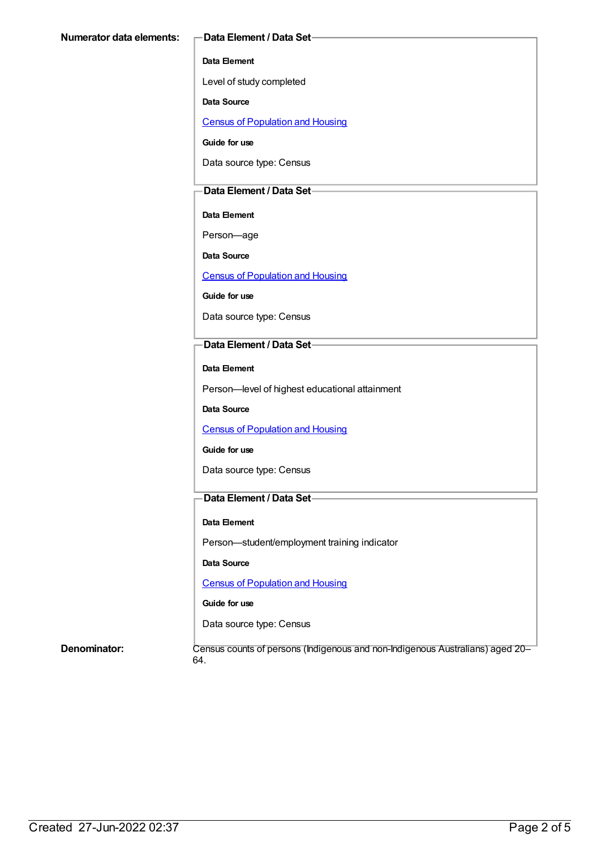#### **Data Element**

Level of study completed

**Data Source**

Census of [Population](https://meteor.aihw.gov.au/content/393890) and Housing

**Guide for use**

Data source type: Census

#### **Data Element / Data Set**

**Data Element**

Person—age

**Data Source**

Census of [Population](https://meteor.aihw.gov.au/content/393890) and Housing

**Guide for use**

Data source type: Census

### **Data Element / Data Set**

**Data Element**

Person—level of highest educational attainment

**Data Source**

Census of [Population](https://meteor.aihw.gov.au/content/393890) and Housing

#### **Guide for use**

Data source type: Census

### **Data Element / Data Set**

#### **Data Element**

Person—student/employment training indicator

**Data Source**

Census of [Population](https://meteor.aihw.gov.au/content/393890) and Housing

#### **Guide for use**

Data source type: Census

**Denominator:** Census counts of persons (Indigenous and non-Indigenous Australians) aged 20– 64.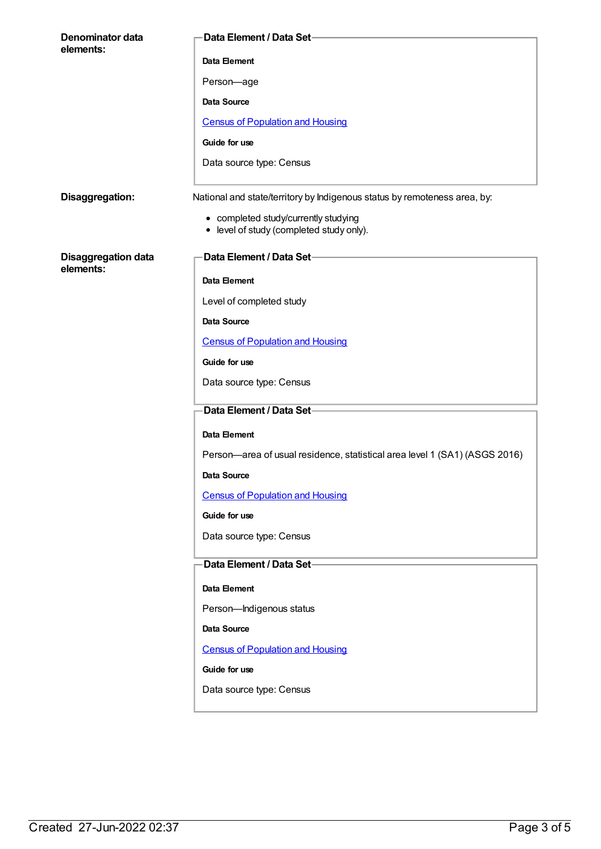| Denominator data                        | Data Element / Data Set-                                                         |
|-----------------------------------------|----------------------------------------------------------------------------------|
| elements:                               | Data Element                                                                     |
|                                         | Person-age                                                                       |
|                                         |                                                                                  |
|                                         | <b>Data Source</b>                                                               |
|                                         | <b>Census of Population and Housing</b>                                          |
|                                         | Guide for use                                                                    |
|                                         | Data source type: Census                                                         |
| Disaggregation:                         | National and state/territory by Indigenous status by remoteness area, by:        |
|                                         | • completed study/currently studying<br>• level of study (completed study only). |
| <b>Disaggregation data</b><br>elements: | Data Element / Data Set-                                                         |
|                                         | Data Element                                                                     |
|                                         | Level of completed study                                                         |
|                                         | <b>Data Source</b>                                                               |
|                                         | <b>Census of Population and Housing</b>                                          |
|                                         | Guide for use                                                                    |
|                                         | Data source type: Census                                                         |
|                                         | Data Element / Data Set-                                                         |
|                                         | Data Element                                                                     |
|                                         | Person-area of usual residence, statistical area level 1 (SA1) (ASGS 2016)       |
|                                         | <b>Data Source</b>                                                               |
|                                         | <b>Census of Population and Housing</b>                                          |
|                                         | Guide for use                                                                    |
|                                         | Data source type: Census                                                         |
|                                         | Data Element / Data Set-                                                         |
|                                         | <b>Data Element</b>                                                              |
|                                         | Person-Indigenous status                                                         |
|                                         | Data Source                                                                      |
|                                         | <b>Census of Population and Housing</b>                                          |
|                                         | Guide for use                                                                    |
|                                         | Data source type: Census                                                         |
|                                         |                                                                                  |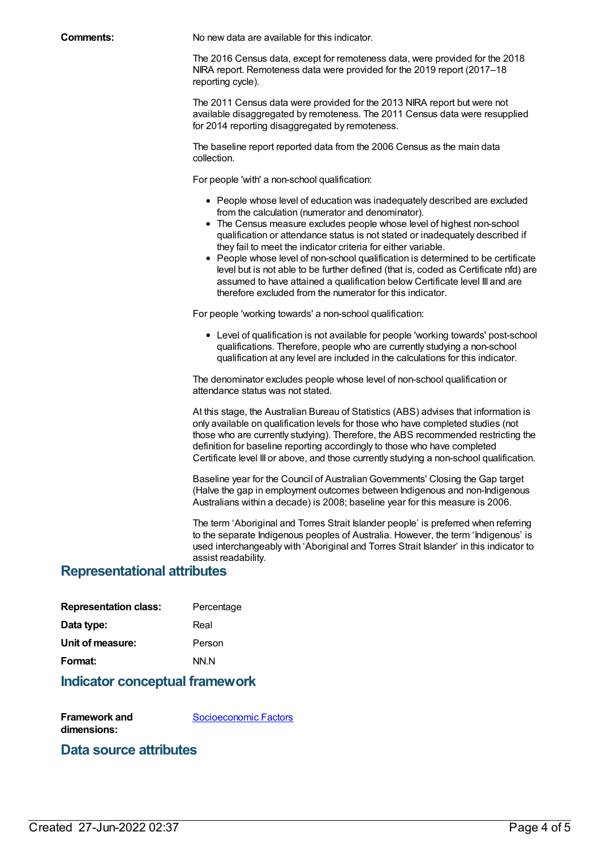**Comments:** No new data are available for this indicator.

The 2016 Census data, except for remoteness data, were provided for the 2018 NIRA report. Remoteness data were provided for the 2019 report (2017–18 reporting cycle).

The 2011 Census data were provided for the 2013 NIRA report but were not available disaggregated by remoteness. The 2011 Census data were resupplied for 2014 reporting disaggregated by remoteness.

The baseline report reported data from the 2006 Census as the main data collection.

For people 'with' a non-school qualification:

- People whose level of education was inadequately described are excluded from the calculation (numerator and denominator).
- The Census measure excludes people whose level of highest non-school qualification or attendance status is not stated or inadequately described if they fail to meet the indicator criteria for either variable.
- People whose level of non-school qualification is determined to be certificate level but is not able to be further defined (that is, coded as Certificate nfd) are assumed to have attained a qualification below Certificate level III and are therefore excluded from the numerator for this indicator.

For people 'working towards' a non-school qualification:

Level of qualification is not available for people 'working towards' post-school qualifications. Therefore, people who are currently studying a non-school qualification at any level are included in the calculations for this indicator.

The denominator excludes people whose level of non-school qualification or attendance status was not stated.

At this stage, the Australian Bureau of Statistics (ABS) advises that information is only available on qualification levels for those who have completed studies (not those who are currently studying). Therefore, the ABS recommended restricting the definition for baseline reporting accordingly to those who have completed Certificate level III or above, and those currently studying a non-school qualification.

Baseline year for the Council of Australian Governments' Closing the Gap target (Halve the gap in employment outcomes between Indigenous and non-Indigenous Australians within a decade) is 2008; baseline year for this measure is 2006.

The term 'Aboriginal and Torres Strait Islander people' is preferred when referring to the separate Indigenous peoples of Australia. However, the term 'Indigenous' is used interchangeably with 'Aboriginal and Torres Strait Islander' in this indicator to assist readability.

## **Representational attributes**

| <b>Representation class:</b> | Percentage |
|------------------------------|------------|
| Data type:                   | Real       |
| Unit of measure:             | Person     |
| Format:                      | NN N       |
|                              |            |

## **Indicator conceptual framework**

**Framework and dimensions:** [Socioeconomic](https://meteor.aihw.gov.au/content/410674) Factors

## **Data source attributes**